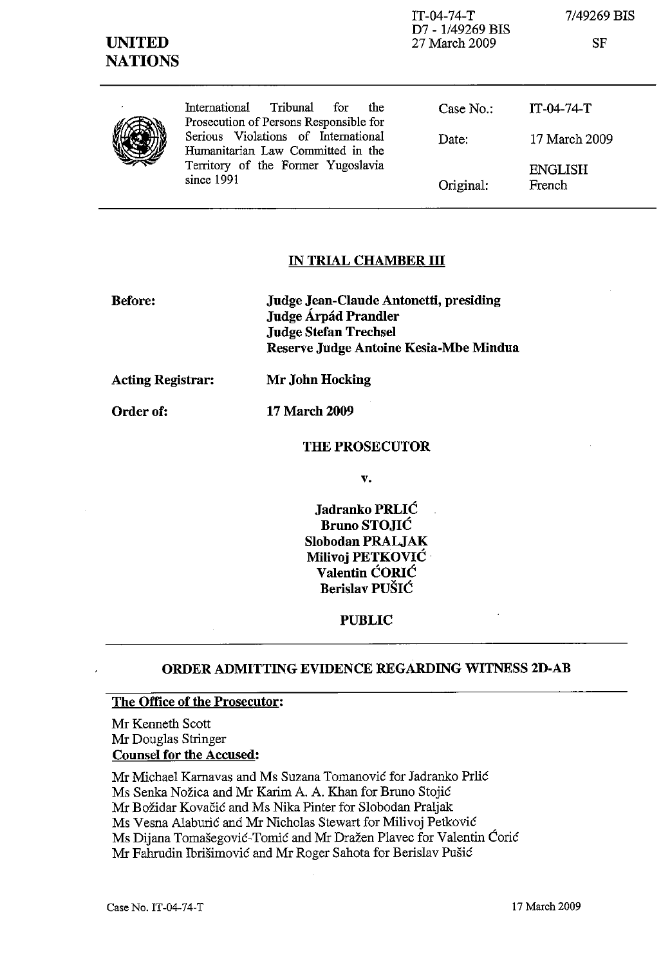| <b>UNITED</b><br><b>NATIONS</b> |                                                                                                                              | TT-04-74-T<br>D7 - 1/49269 BIS<br>27 March 2009 | 7749269 BIS<br>SF        |
|---------------------------------|------------------------------------------------------------------------------------------------------------------------------|-------------------------------------------------|--------------------------|
|                                 | Tribunal<br>International<br>the<br>for<br>Prosecution of Persons Responsible for                                            | Case No.:                                       | $IT-04-74-T$             |
|                                 | Serious Violations of International<br>Humanitarian Law Committed in the<br>Territory of the Former Yugoslavia<br>since 1991 | Date:                                           | 17 March 2009            |
|                                 |                                                                                                                              | Original:                                       | <b>ENGLISH</b><br>French |

 $T_{\rm T}$   $\sim$   $I$   $H$   $I$   $\sim$ 

*7/49269* BIS

#### **IN TRIAL CHAMBER III**

| <b>Before:</b> | Judge Jean-Claude Antonetti, presiding<br>Judge Árpád Prandler |
|----------------|----------------------------------------------------------------|
|                | <b>Judge Stefan Trechsel</b>                                   |
|                | Reserve Judge Antoine Kesia-Mbe Mindua                         |

**Acting Registrar: Mr John Hocking** 

**Order of: 17 March 2009** 

#### **THE PROSECUTOR**

v.

**Jadranko PRLIC Bruno STOJIC Siobodan PRALJAK Milivoj PETKOVIC Valentin CORlC Berislav PUSIC** 

**PUBLIC** 

### **ORDER ADMITTING EVIDENCE REGARDING WITNESS 2D-AB**

#### **The Office of the Prosecutor:**

Mr Kenneth Scott Mr Douglas Stringer **Counsel for the Accused:** 

Mr Michael Karnavas and Ms Suzana Tomanovic for Iadranko Prlic Ms Senka Nožica and Mr Karim A. A. Khan for Bruno Stojić Mr Božidar Kovačić and Ms Nika Pinter for Slobodan Praljak Ms Vesna Alaburic and Mr Nicholas Stewart for Milivoj Petkovic Ms Dijana Tomasegovic-Tomic and Mr Drazen Plavec for Valentin Coric Mr Fahrudin Ibrisimovic and Mr Roger Sahota for Berislav Pusic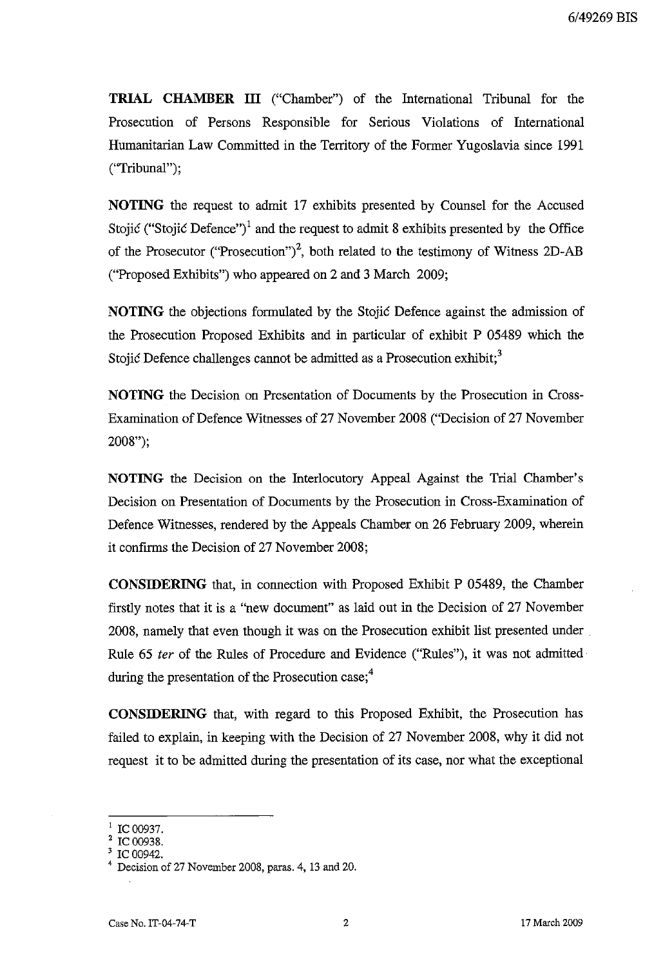**TRIAL CHAMBER ill** ("Chamber") of the International Tribunal for the Prosecution of Persons Responsible for Serious Violations of International Humanitarian Law Committed in the Territory of the Former Yugoslavia since 1991 ("Tribunal");

**NOTING** the request to admit 17 exhibits presented by Counsel for the Accused Stojić ("Stojić Defence")<sup>1</sup> and the request to admit 8 exhibits presented by the Office of the Prosecutor ("Prosecution")<sup>2</sup>, both related to the testimony of Witness 2D-AB ("Proposed Exhibits") who appeared on 2 and 3 March 2009;

**NOTING** the objections formulated by the Stojic Defence against the admission of the Prosecution Proposed Exhibits and in particular of exhibit P 05489 which the Stojic Defence challenges cannot be admitted as a Prosecution exhibit;<sup>3</sup>

**NOTING** the Decision on Presentation of Documents by the Prosecution in Cross-Examination of Defence Witnesses of 27 November 2008 ("Decision of 27 November 2008");

**NOTING** the Decision on the Interlocutory Appeal Against the Trial Chamber's Decision on Presentation of Documents by the Prosecution in Cross-Examination of Defence Witnesses, rendered by the Appeals Chamber on 26 February 2009, wherein it confirms the Decision of 27 November 2008;

**CONSIDERING** that, in connection with Proposed Exhibit P 05489, the Chamber firstly notes that it is a "new document" as laid out in the Decision of 27 November 2008, namely that even though it was on the Prosecution exhibit list presented under Rule 65 fer of the Rules of Procedure and Evidence ("Rules"), it was not admitted during the presentation of the Prosecution case; $<sup>4</sup>$ </sup>

**CONSIDERING** that, with regard to this Proposed Exhibit, the Prosecution has failed to explain, in keeping with the Decision of 27 November 2008, why it did not request it to be admitted during the presentation of its case, nor what the exceptional

IC 00937.

 $2^2$  IC 00938.

IC 00942.

<sup>4</sup> Decision of 27 November 2008, paras. 4, l3 and 20.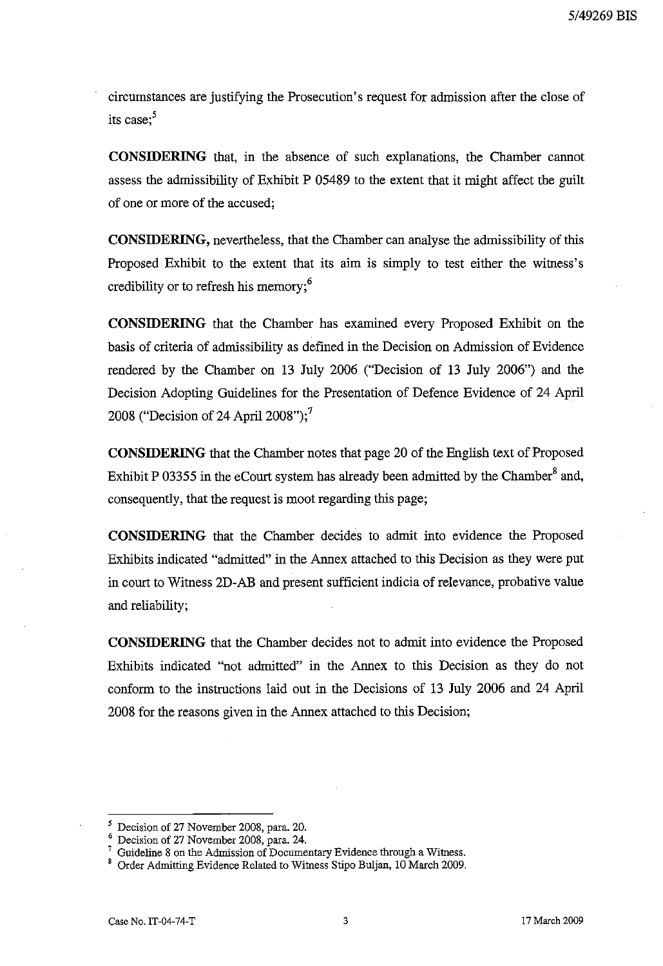circumstances are justifying the Prosecution's request for admission after the close of its case:<sup>5</sup>

**CONSIDERING** that, in the absence of such explanations, the Chamber cannot assess the admissibility of Exhibit P 05489 to the extent that it might affect the guilt of one or more of the accused;

**CONSIDERING,** nevertheless, that the Chamber can analyse the admissibility of this Proposed Exhibit to the extent that its aim is simply to test either the witness's credibility or to refresh his memory;<sup>6</sup>

**CONSIDERING** that the Chamber has examined every Proposed Exhibit on the basis of criteria of admissibility as defined in the Decision on Admission of Evidence rendered by the Chamber on 13 July 2006 ("Decision of 13 July 2006") and the Decision Adopting Guidelines for the Presentation of Defence Evidence of 24 April 2008 ("Decision of 24 April 2008");<sup>7</sup>

**CONSIDERING** that the Chamber notes that page 20 of the English text of Proposed Exhibit P 03355 in the eCourt system has already been admitted by the Chamber<sup>8</sup> and, consequently, that the request is moot regarding this page;

CONSIDERING that the Chamber decides to admit into evidence the Proposed Exhibits indicated "admitted" in the Annex attached to this Decision as they were put in court to Witness 2D-AB and present sufficient indicia of relevance, probative value and reliability;

**CONSIDERING** that the Chamber decides not to admit into evidence the Proposed Exhibits indicated "not admitted" in the Annex to this Decision as they do not conform to the instructions laid out in the Decisions of 13 July 2006 and 24 April 2008 for the reasons given in the Annex attached to this Decision;

<sup>5</sup> Decision of 27 November 2008, para. 20.

<sup>6</sup> Decision of 27 November 2008, para. 24.

 $7$  Guideline 8 on the Admission of Documentary Evidence through a Witness.

<sup>&</sup>lt;sup>8</sup> Order Admitting Evidence Related to Witness Stipo Buljan, 10 March 2009.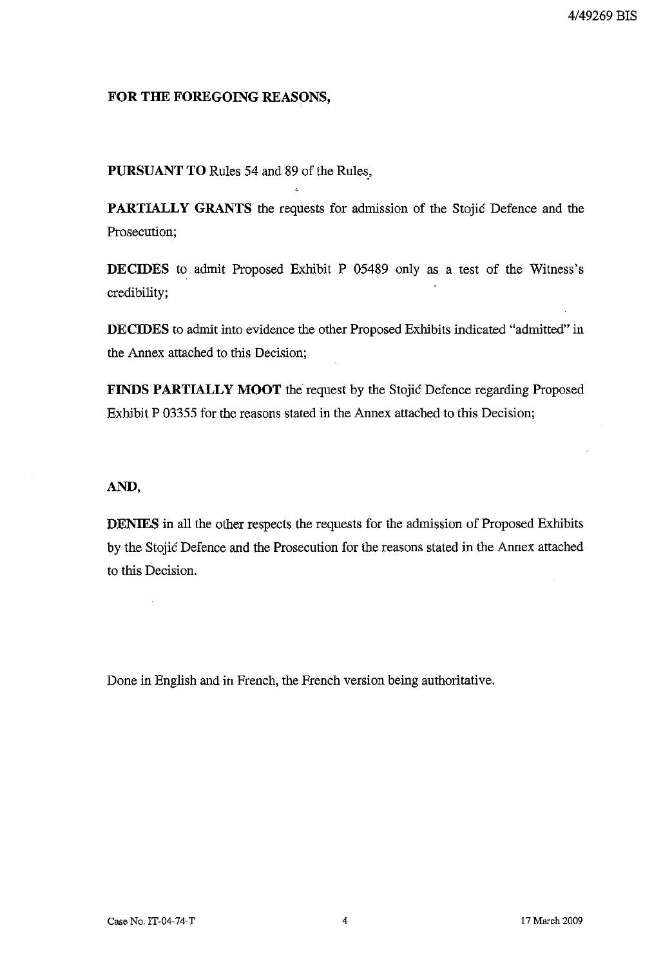#### **FOR THE FOREGOING REASONS,**

**PURSUANT TO** Rules **54** and 89 of the Rules.,

**PARTIALLY GRANTS** the requests for admission of the Stojic Defence and the Prosecution;

**DECIDES** to admit Proposed Exhibit P 05489 only as a test of the Witness's credibility;

**DECIDES** to admit into evidence the other Proposed Exhibits indicated "admitted" in the Annex attached to this Decision;

**FINDS PARTIALLY MOOT** the request by the Stojic Defence regarding Proposed Exhibit P 03355 for the reasons stated in the Annex attached to this Decision;

#### **AND,**

 $\overline{\phantom{a}}$ 

**DENIES** in all the other respects the requests for the admission of Proposed Exhibits by the Stojic Defence and the Prosecution for the reasons stated in the Annex attached to this Decision.

Done in English and in French, the French version being authoritative.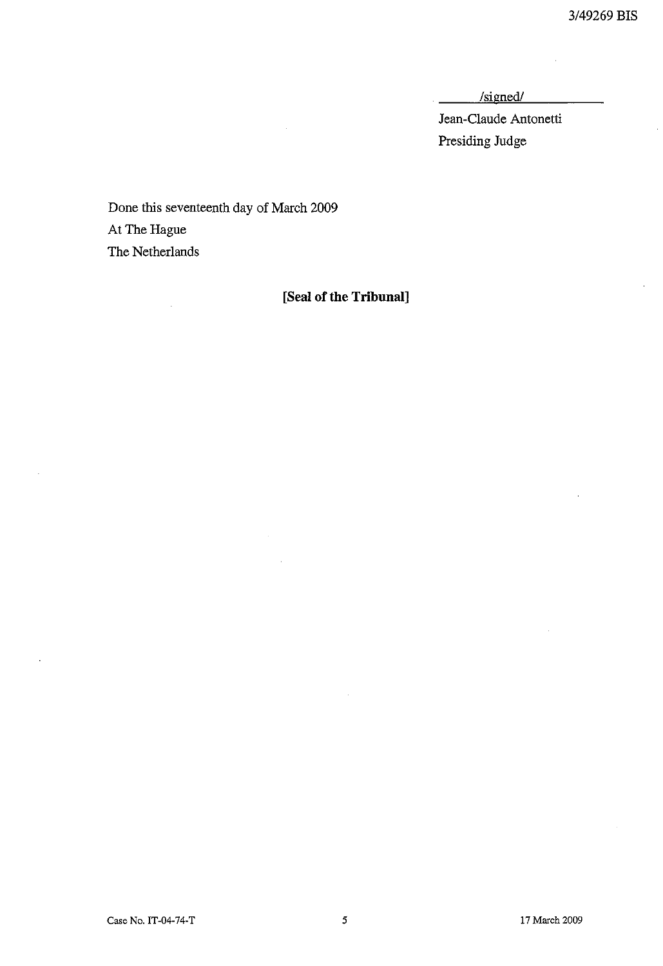$\mathbb{R}^2$ 

 $/signed/$ 

Jean-Claude Antonetti Presiding Judge

Done this seventeenth day of March 2009 At The Hague The Netherlands

## **[Seal of the Tribunal]**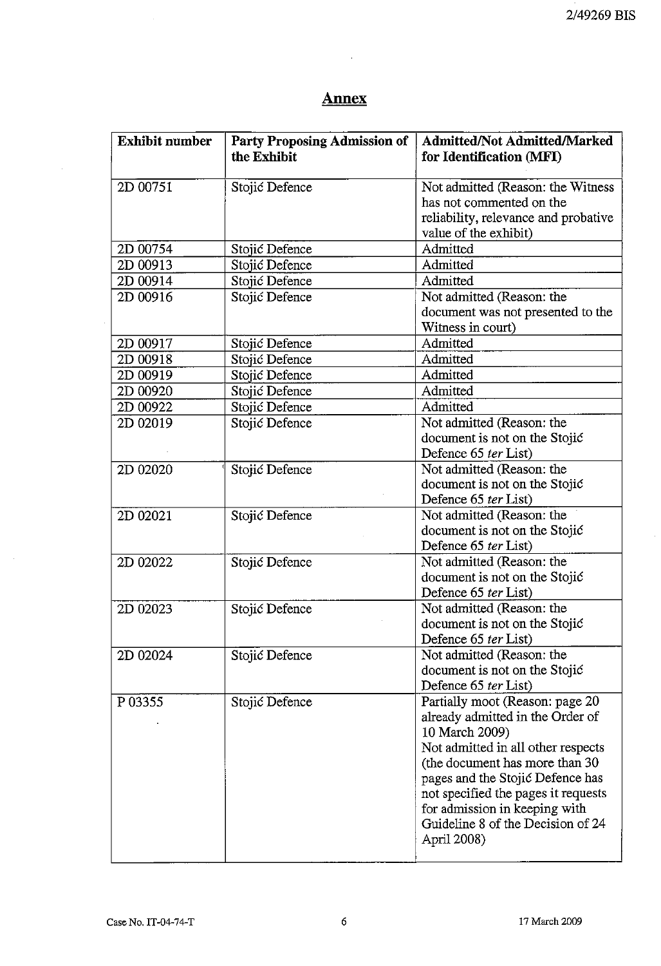# **Annex**

| <b>Exhibit number</b><br><b>Party Proposing Admission of</b> |                | <b>Admitted/Not Admitted/Marked</b>                           |  |
|--------------------------------------------------------------|----------------|---------------------------------------------------------------|--|
|                                                              | the Exhibit    | for Identification (MFI)                                      |  |
| 2D 00751                                                     |                |                                                               |  |
|                                                              | Stojić Defence | Not admitted (Reason: the Witness<br>has not commented on the |  |
|                                                              |                |                                                               |  |
|                                                              |                | reliability, relevance and probative                          |  |
|                                                              |                | value of the exhibit)<br>Admitted                             |  |
| 2D 00754                                                     | Stojić Defence |                                                               |  |
| 2D 00913                                                     | Stojić Defence | Admitted                                                      |  |
| 2D 00914                                                     | Stojić Defence | Admitted                                                      |  |
| 2D 00916                                                     | Stojić Defence | Not admitted (Reason: the                                     |  |
|                                                              |                | document was not presented to the                             |  |
|                                                              |                | Witness in court)                                             |  |
| 2D 00917                                                     | Stojić Defence | Admitted                                                      |  |
| 2D 00918                                                     | Stojić Defence | Admitted                                                      |  |
| 2D 00919                                                     | Stojić Defence | Admitted                                                      |  |
| 2D 00920                                                     | Stojić Defence | Admitted                                                      |  |
| 2D 00922                                                     | Stojić Defence | Admitted                                                      |  |
| 2D 02019                                                     | Stojić Defence | Not admitted (Reason: the                                     |  |
|                                                              |                | document is not on the Stojić                                 |  |
|                                                              |                | Defence 65 ter List)                                          |  |
| 2D 02020                                                     | Stojić Defence | Not admitted (Reason: the                                     |  |
|                                                              |                | document is not on the Stojić                                 |  |
|                                                              |                | Defence 65 ter List)                                          |  |
| 2D 02021                                                     | Stojić Defence | Not admitted (Reason: the                                     |  |
|                                                              |                | document is not on the Stojić                                 |  |
|                                                              |                | Defence 65 ter List)                                          |  |
| 2D 02022                                                     | Stojić Defence | Not admitted (Reason: the                                     |  |
|                                                              |                | document is not on the Stojić                                 |  |
|                                                              |                | Defence 65 ter List)                                          |  |
| 2D 02023                                                     | Stojić Defence | Not admitted (Reason: the                                     |  |
|                                                              |                | document is not on the Stojić                                 |  |
|                                                              |                | Defence 65 ter List)                                          |  |
| 2D 02024                                                     | Stojić Defence | Not admitted (Reason: the                                     |  |
|                                                              |                | document is not on the Stojić                                 |  |
|                                                              |                | Defence 65 ter List)                                          |  |
| P 03355                                                      | Stojić Defence | Partially moot (Reason: page 20                               |  |
|                                                              |                | already admitted in the Order of                              |  |
|                                                              |                | 10 March 2009)                                                |  |
|                                                              |                | Not admitted in all other respects                            |  |
|                                                              |                | (the document has more than 30)                               |  |
|                                                              |                | pages and the Stojić Defence has                              |  |
|                                                              |                | not specified the pages it requests                           |  |
|                                                              |                | for admission in keeping with                                 |  |
|                                                              |                | Guideline 8 of the Decision of 24                             |  |
|                                                              |                | April 2008)                                                   |  |
|                                                              |                |                                                               |  |

 $\bar{z}$